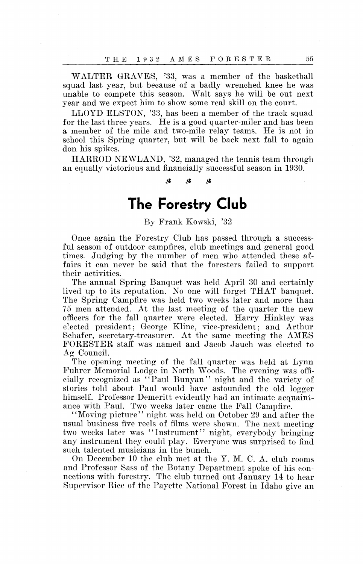WALTER GRAVES, '33, was a member of the basketball squad last year, but because of a badly wrenched knee he was unable to compete this season. Walt says he will be out next year and we expect him to show some real skill on the court.

LLOYD ELSTON, '33, has been a member of the track squad for the last three years. He is a good quarter-miler and has been a member of the mile and two-mile relay teams. He is not in school this Spring quarter, but will be back next fall to again don his spikes.

HARROD NEWLAND, '32, managed the tennis team through an equally victorious and financially successful season in 1930.

> $\mathcal{S}$ Ą, Ą,

# **The Forestry Club**

By Frank Kowski, '32

Once again the Forestry Club has passed through a successful season of outdoor campfires, club meetings and general good times. Judging by the number of men who attended these affairs it can never be said that the foresters failed to support their activities.

The annual Spring Banquet was held April 30 and certainly lived up to its reputation. No one will forget THAT banquet. The Spring Campfire was held two weeks later and more than 75 men attended. At the last meeting of the quarter the new officers for the fall quarter were elected. Harry Hinkley was elected president; George Kline, vice-president; and Arthur Schafer, secretary-treasurer. At the same meeting the AMES FORESTER staff was named and Jacob Jauch was elected to Ag Council.

The opening meeting of the fall quarter was held at Lynn Fuhrer Memorial Lodge in North Woods. The evening was officially recognized as ''Paul Bunyan'' night and the variety of stories told about Paul would have astounded the old logger himself. Professor Demeritt evidently had an intimate acquainiance with Paul. Two weeks later came the Fall Campfire.

"Moving picture" night was held on October 29 and after the usual business five reels of films were shown. The next meeting two weeks later was ''Instrument'' night, everybody bringing any instrument they could play. Everyone was surprised to find such talented musicians in the bunch.

On December 10 the club met at the Y. M. C. A. club rooms and Professor Sass of the Botany Department spoke of his connections with forestry. The club turned out January 14 to hear Supervisor Rice of the Payette National Forest in Idaho give an